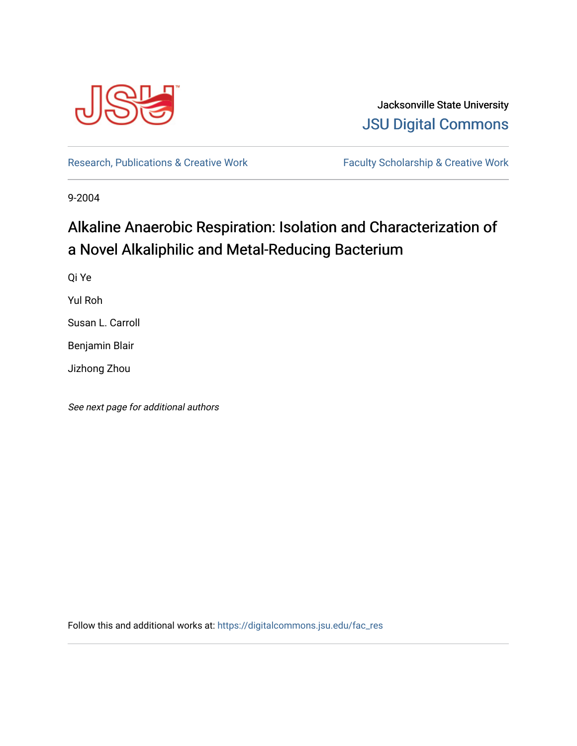

Jacksonville State University [JSU Digital Commons](https://digitalcommons.jsu.edu/) 

[Research, Publications & Creative Work](https://digitalcommons.jsu.edu/fac_res) Faculty Scholarship & Creative Work

9-2004

# Alkaline Anaerobic Respiration: Isolation and Characterization of a Novel Alkaliphilic and Metal-Reducing Bacterium

Qi Ye

Yul Roh

Susan L. Carroll

Benjamin Blair

Jizhong Zhou

See next page for additional authors

Follow this and additional works at: [https://digitalcommons.jsu.edu/fac\\_res](https://digitalcommons.jsu.edu/fac_res?utm_source=digitalcommons.jsu.edu%2Ffac_res%2F84&utm_medium=PDF&utm_campaign=PDFCoverPages)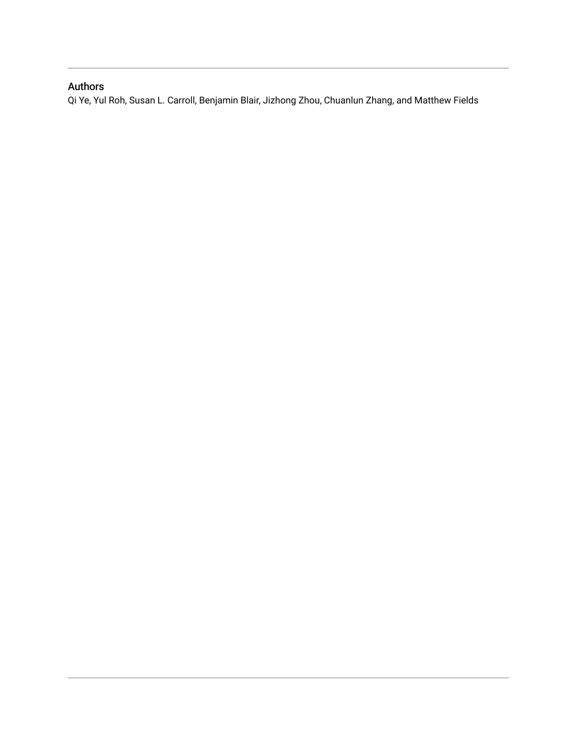### Authors

Qi Ye, Yul Roh, Susan L. Carroll, Benjamin Blair, Jizhong Zhou, Chuanlun Zhang, and Matthew Fields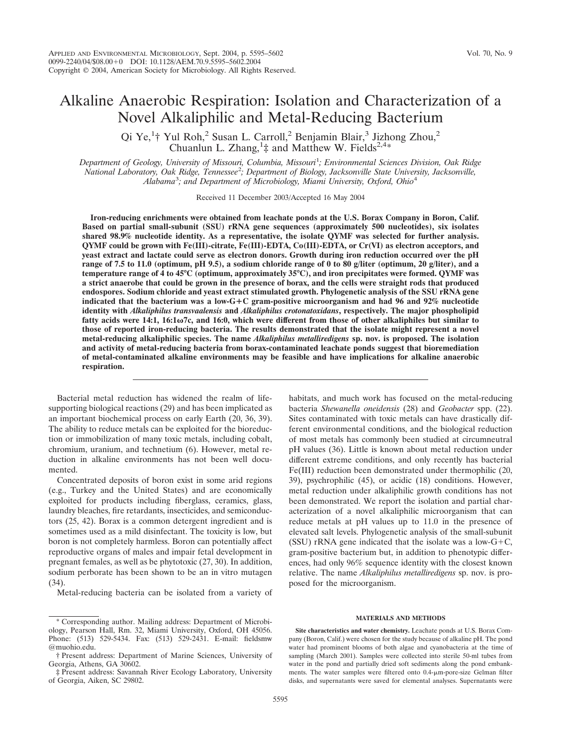## Alkaline Anaerobic Respiration: Isolation and Characterization of a Novel Alkaliphilic and Metal-Reducing Bacterium

Qi Ye,<sup>1</sup>† Yul Roh,<sup>2</sup> Susan L. Carroll,<sup>2</sup> Benjamin Blair,<sup>3</sup> Jizhong Zhou,<sup>2</sup> Chuanlun L. Zhang,<sup>1</sup>‡ and Matthew W. Fields<sup>2,4\*</sup>

*Department of Geology, University of Missouri, Columbia, Missouri*<sup>1</sup> *; Environmental Sciences Division, Oak Ridge National Laboratory, Oak Ridge, Tennessee*<sup>2</sup> *; Department of Biology, Jacksonville State University, Jacksonville, Alabama*<sup>3</sup> *; and Department of Microbiology, Miami University, Oxford, Ohio*<sup>4</sup>

Received 11 December 2003/Accepted 16 May 2004

**Iron-reducing enrichments were obtained from leachate ponds at the U.S. Borax Company in Boron, Calif. Based on partial small-subunit (SSU) rRNA gene sequences (approximately 500 nucleotides), six isolates shared 98.9% nucleotide identity. As a representative, the isolate QYMF was selected for further analysis. QYMF could be grown with Fe(III)-citrate, Fe(III)-EDTA, Co(III)-EDTA, or Cr(VI) as electron acceptors, and yeast extract and lactate could serve as electron donors. Growth during iron reduction occurred over the pH range of 7.5 to 11.0 (optimum, pH 9.5), a sodium chloride range of 0 to 80 g/liter (optimum, 20 g/liter), and a temperature range of 4 to 45°C (optimum, approximately 35°C), and iron precipitates were formed. QYMF was a strict anaerobe that could be grown in the presence of borax, and the cells were straight rods that produced endospores. Sodium chloride and yeast extract stimulated growth. Phylogenetic analysis of the SSU rRNA gene indicated that the bacterium was a low-GC gram-positive microorganism and had 96 and 92% nucleotide identity with** *Alkaliphilus transvaalensis* **and** *Alkaliphilus crotonatoxidans***, respectively. The major phospholipid fatty acids were 14:1, 16:1**-**7c, and 16:0, which were different from those of other alkaliphiles but similar to those of reported iron-reducing bacteria. The results demonstrated that the isolate might represent a novel metal-reducing alkaliphilic species. The name** *Alkaliphilus metalliredigens* **sp. nov. is proposed. The isolation and activity of metal-reducing bacteria from borax-contaminated leachate ponds suggest that bioremediation of metal-contaminated alkaline environments may be feasible and have implications for alkaline anaerobic respiration.**

Bacterial metal reduction has widened the realm of lifesupporting biological reactions (29) and has been implicated as an important biochemical process on early Earth (20, 36, 39). The ability to reduce metals can be exploited for the bioreduction or immobilization of many toxic metals, including cobalt, chromium, uranium, and technetium (6). However, metal reduction in alkaline environments has not been well documented.

Concentrated deposits of boron exist in some arid regions (e.g., Turkey and the United States) and are economically exploited for products including fiberglass, ceramics, glass, laundry bleaches, fire retardants, insecticides, and semiconductors (25, 42). Borax is a common detergent ingredient and is sometimes used as a mild disinfectant. The toxicity is low, but boron is not completely harmless. Boron can potentially affect reproductive organs of males and impair fetal development in pregnant females, as well as be phytotoxic (27, 30). In addition, sodium perborate has been shown to be an in vitro mutagen (34).

Metal-reducing bacteria can be isolated from a variety of

habitats, and much work has focused on the metal-reducing bacteria *Shewanella oneidensis* (28) and *Geobacter* spp. (22). Sites contaminated with toxic metals can have drastically different environmental conditions, and the biological reduction of most metals has commonly been studied at circumneutral pH values (36). Little is known about metal reduction under different extreme conditions, and only recently has bacterial Fe(III) reduction been demonstrated under thermophilic (20, 39), psychrophilic (45), or acidic (18) conditions. However, metal reduction under alkaliphilic growth conditions has not been demonstrated. We report the isolation and partial characterization of a novel alkaliphilic microorganism that can reduce metals at pH values up to 11.0 in the presence of elevated salt levels. Phylogenetic analysis of the small-subunit (SSU) rRNA gene indicated that the isolate was a low- $G+C$ , gram-positive bacterium but, in addition to phenotypic differences, had only 96% sequence identity with the closest known relative. The name *Alkaliphilus metalliredigens* sp. nov. is proposed for the microorganism.

#### **MATERIALS AND METHODS**

**Site characteristics and water chemistry.** Leachate ponds at U.S. Borax Company (Boron, Calif.) were chosen for the study because of alkaline pH. The pond water had prominent blooms of both algae and cyanobacteria at the time of sampling (March 2001). Samples were collected into sterile 50-ml tubes from water in the pond and partially dried soft sediments along the pond embankments. The water samples were filtered onto 0.4-µm-pore-size Gelman filter disks, and supernatants were saved for elemental analyses. Supernatants were

<sup>\*</sup> Corresponding author. Mailing address: Department of Microbiology, Pearson Hall, Rm. 32, Miami University, Oxford, OH 45056. Phone: (513) 529-5434. Fax: (513) 529-2431. E-mail: fieldsmw @muohio.edu.

<sup>†</sup> Present address: Department of Marine Sciences, University of Georgia, Athens, GA 30602.

<sup>‡</sup> Present address: Savannah River Ecology Laboratory, University of Georgia, Aiken, SC 29802.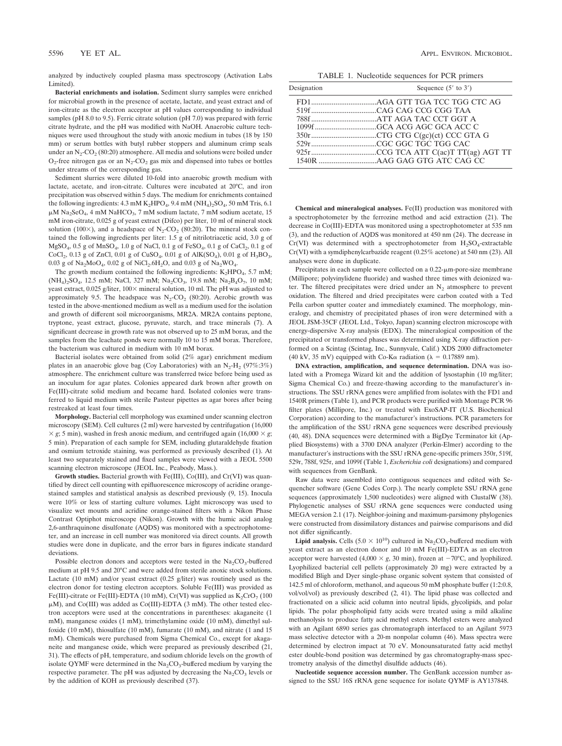analyzed by inductively coupled plasma mass spectroscopy (Activation Labs Limited).

**Bacterial enrichments and isolation.** Sediment slurry samples were enriched for microbial growth in the presence of acetate, lactate, and yeast extract and of iron-citrate as the electron acceptor at pH values corresponding to individual samples (pH 8.0 to 9.5). Ferric citrate solution (pH 7.0) was prepared with ferric citrate hydrate, and the pH was modified with NaOH. Anaerobic culture techniques were used throughout the study with anoxic medium in tubes (18 by 150 mm) or serum bottles with butyl rubber stoppers and aluminum crimp seals under an  $N_2$ -CO<sub>2</sub> (80:20) atmosphere. All media and solutions were boiled under  $O_2$ -free nitrogen gas or an  $N_2$ -CO<sub>2</sub> gas mix and dispensed into tubes or bottles under streams of the corresponding gas.

Sediment slurries were diluted 10-fold into anaerobic growth medium with lactate, acetate, and iron-citrate. Cultures were incubated at 20°C, and iron precipitation was observed within 5 days. The medium for enrichments contained the following ingredients:  $4.3 \text{ mM } K_2\text{HPO}_4$ ,  $9.4 \text{ mM } (NH_4)_2\text{SO}_4$ ,  $50 \text{ mM } \text{Tris, } 6.1$  $\mu$ M Na<sub>2</sub>SeO<sub>4</sub>, 4 mM NaHCO<sub>3</sub>, 7 mM sodium lactate, 7 mM sodium acetate, 15 mM iron-citrate, 0.025 g of yeast extract (Difco) per liter, 10 ml of mineral stock solution (100 $\times$ ), and a headspace of N<sub>2</sub>-CO<sub>2</sub> (80:20). The mineral stock contained the following ingredients per liter: 1.5 g of nitrilotriacetic acid, 3.0 g of  $MgSO_4$ , 0.5 g of  $MnSO_4$ , 1.0 g of NaCl, 0.1 g of FeSO<sub>4</sub>, 0.1 g of CaCl<sub>2</sub>, 0.1 g of CoCl<sub>2</sub>, 0.13 g of ZnCl, 0.01 g of CuSO<sub>4</sub>, 0.01 g of AlK(SO<sub>4</sub>), 0.01 g of H<sub>3</sub>BO<sub>3</sub>, 0.03 g of  $Na_2MoO_4$ , 0.02 g of  $NiCl_2.6H_2O$ , and 0.03 g of  $Na_2WO_4$ .

The growth medium contained the following ingredients:  $K_2HPO_4$ , 5.7 mM; (NH<sub>4</sub>)<sub>2</sub>SO<sub>4</sub>, 12.5 mM; NaCl, 327 mM; Na<sub>2</sub>CO<sub>3</sub>, 19.8 mM; Na<sub>2</sub>B<sub>4</sub>O<sub>7</sub>, 10 mM; yeast extract, 0.025 g/liter,  $100 \times$  mineral solution, 10 ml. The pH was adjusted to approximately 9.5. The headspace was  $N_2$ -CO<sub>2</sub> (80:20). Aerobic growth was tested in the above-mentioned medium as well as a medium used for the isolation and growth of different soil microorganisms, MR2A. MR2A contains peptone, tryptone, yeast extract, glucose, pyruvate, starch, and trace minerals (7). A significant decrease in growth rate was not observed up to 25 mM borax, and the samples from the leachate ponds were normally 10 to 15 mM borax. Therefore, the bacterium was cultured in medium with 10 mM borax.

Bacterial isolates were obtained from solid (2% agar) enrichment medium plates in an anaerobic glove bag (Coy Laboratories) with an  $N_2-H_2$  (97%:3%) atmosphere. The enrichment culture was transferred twice before being used as an inoculum for agar plates. Colonies appeared dark brown after growth on Fe(III)-citrate solid medium and became hard. Isolated colonies were transferred to liquid medium with sterile Pasteur pipettes as agar bores after being restreaked at least four times.

**Morphology.** Bacterial cell morphology was examined under scanning electron microscopy (SEM). Cell cultures (2 ml) were harvested by centrifugation (16,000  $\times$  *g*; 5 min), washed in fresh anoxic medium, and centrifuged again (16,000  $\times$  *g*; 5 min). Preparation of each sample for SEM, including glutaraldehyde fixation and osmium tetroxide staining, was performed as previously described (1). At least two separately stained and fixed samples were viewed with a JEOL 5500 scanning electron microscope (JEOL Inc., Peabody, Mass.).

**Growth studies.** Bacterial growth with Fe(III), Co(III), and Cr(VI) was quantified by direct cell counting with epifluorescence microscopy of acridine orangestained samples and statistical analysis as described previously (9, 15). Inocula were 10% or less of starting culture volumes. Light microscopy was used to visualize wet mounts and acridine orange-stained filters with a Nikon Phase Contrast Optiphot microscope (Nikon). Growth with the humic acid analog 2,6-anthraquinone disulfonate (AQDS) was monitored with a spectrophotometer, and an increase in cell number was monitored via direct counts. All growth studies were done in duplicate, and the error bars in figures indicate standard deviations.

Possible electron donors and acceptors were tested in the  $Na<sub>2</sub>CO<sub>3</sub>$ -buffered medium at pH 9.5 and 20°C and were added from sterile anoxic stock solutions. Lactate (10 mM) and/or yeast extract (0.25 g/liter) was routinely used as the electron donor for testing electron acceptors. Soluble Fe(III) was provided as Fe(III)-citrate or Fe(III)-EDTA (10 mM), Cr(VI) was supplied as  $K_2CrO_7$  (100  $\mu$ M), and Co(III) was added as Co(III)-EDTA (3 mM). The other tested electron acceptors were used at the concentrations in parentheses: akaganeite (1 mM), manganese oxides (1 mM), trimethylamine oxide (10 mM), dimethyl sulfoxide (10 mM), thiosulfate (10 mM), fumarate (10 mM), and nitrate (1 and 15 mM). Chemicals were purchased from Sigma Chemical Co., except for akaganeite and manganese oxide, which were prepared as previously described (21, 31). The effects of pH, temperature, and sodium chloride levels on the growth of isolate QYMF were determined in the  $Na<sub>2</sub>CO<sub>3</sub>$ -buffered medium by varying the respective parameter. The pH was adjusted by decreasing the  $\text{Na}_2\text{CO}_3$  levels or by the addition of KOH as previously described (37).

|  | TABLE 1. Nucleotide sequences for PCR primers |  |  |  |
|--|-----------------------------------------------|--|--|--|
|--|-----------------------------------------------|--|--|--|

| Designation | Sequence $(5'$ to $3')$ |  |  |  |
|-------------|-------------------------|--|--|--|
|             |                         |  |  |  |
|             |                         |  |  |  |
|             |                         |  |  |  |
|             |                         |  |  |  |
|             |                         |  |  |  |
|             |                         |  |  |  |
|             |                         |  |  |  |
|             |                         |  |  |  |

**Chemical and mineralogical analyses.** Fe(II) production was monitored with a spectrophotometer by the ferrozine method and acid extraction (21). The decrease in Co(III)-EDTA was monitored using a spectrophotometer at 535 nm (3), and the reduction of AQDS was monitored at 450 nm (24). The decrease in Cr(VI) was determined with a spectrophotometer from  $H_2SO_4$ -extractable Cr(VI) with a symdiphenylcarbazide reagent (0.25% acetone) at 540 nm (23). All analyses were done in duplicate.

Precipitates in each sample were collected on a  $0.22$ - $\mu$ m-pore-size membrane (Millipore; polyvinylidene fluoride) and washed three times with deionized water. The filtered precipitates were dried under an  $N_2$  atmosphere to prevent oxidation. The filtered and dried precipitates were carbon coated with a Ted Pella carbon sputter coater and immediately examined. The morphology, mineralogy, and chemistry of precipitated phases of iron were determined with a JEOL JSM-35CF (JEOL Ltd., Tokyo, Japan) scanning electron microscope with energy-dispersive X-ray analysis (EDX). The mineralogical composition of the precipitated or transformed phases was determined using X-ray diffraction performed on a Scintag (Scintag, Inc., Sunnyvale, Calif.) XDS 2000 diffractometer (40 kV, 35 mV) equipped with Co-K $\alpha$  radiation ( $\lambda = 0.17889$  nm).

**DNA extraction, amplification, and sequence determination.** DNA was isolated with a Promega Wizard kit and the addition of lysostaphin (10 mg/liter; Sigma Chemical Co.) and freeze-thawing according to the manufacturer's instructions. The SSU rRNA genes were amplified from isolates with the FD1 and 1540R primers (Table 1), and PCR products were purified with Montage PCR 96 filter plates (Millipore, Inc.) or treated with ExoSAP-IT (U.S. Biochemical Corporation) according to the manufacturer's instructions. PCR parameters for the amplification of the SSU rRNA gene sequences were described previously (40, 48). DNA sequences were determined with a BigDye Terminator kit (Applied Biosystems) with a 3700 DNA analyzer (Perkin-Elmer) according to the manufacturer's instructions with the SSU rRNA gene-specific primers 350r, 519f, 529r, 788f, 925r, and 1099f (Table 1, *Escherichia coli* designations) and compared with sequences from GenBank.

Raw data were assembled into contiguous sequences and edited with Sequencher software (Gene Codes Corp.). The nearly complete SSU rRNA gene sequences (approximately 1,500 nucleotides) were aligned with ClustalW (38). Phylogenetic analyses of SSU rRNA gene sequences were conducted using MEGA version 2.1 (17). Neighbor-joining and maximum-parsimony phylogenies were constructed from dissimilatory distances and pairwise comparisons and did not differ significantly.

**Lipid analysis.** Cells  $(5.0 \times 10^{10})$  cultured in Na<sub>2</sub>CO<sub>3</sub>-buffered medium with yeast extract as an electron donor and 10 mM Fe(III)-EDTA as an electron acceptor were harvested (4,000  $\times$  g, 30 min), frozen at  $-70^{\circ}$ C, and lyophilized. Lyophilized bacterial cell pellets (approximately 20 mg) were extracted by a modified Bligh and Dyer single-phase organic solvent system that consisted of 142.5 ml of chloroform, methanol, and aqueous 50 mM phosphate buffer (1:2:0.8, vol/vol/vol) as previously described (2, 41). The lipid phase was collected and fractionated on a silicic acid column into neutral lipids, glycolipids, and polar lipids. The polar phospholipid fatty acids were treated using a mild alkaline methanolysis to produce fatty acid methyl esters. Methyl esters were analyzed with an Agilant 6890 series gas chromatograph interfaced to an Agilant 5973 mass selective detector with a 20-m nonpolar column (46). Mass spectra were determined by electron impact at 70 eV. Monounsaturated fatty acid methyl ester double-bond position was determined by gas chromatography-mass spectrometry analysis of the dimethyl disulfide adducts (46).

**Nucleotide sequence accession number.** The GenBank accession number assigned to the SSU 16S rRNA gene sequence for isolate QYMF is AY137848.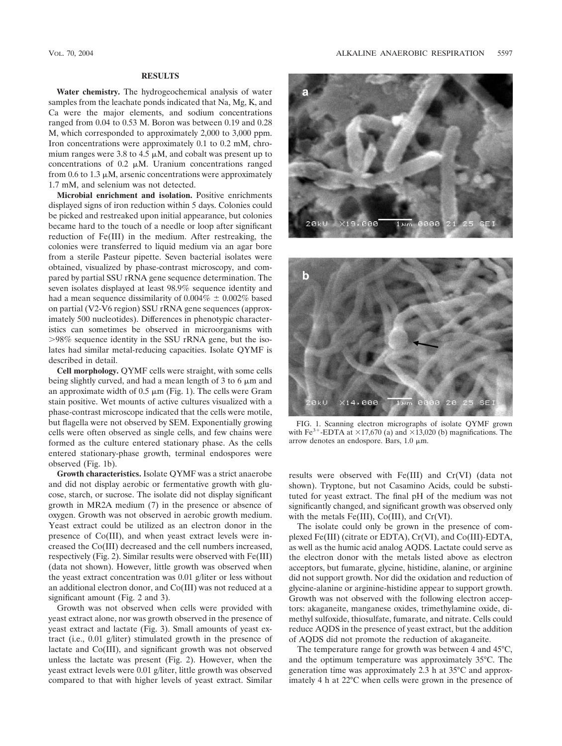#### **RESULTS**

**Water chemistry.** The hydrogeochemical analysis of water samples from the leachate ponds indicated that Na, Mg, K, and Ca were the major elements, and sodium concentrations ranged from 0.04 to 0.53 M. Boron was between 0.19 and 0.28 M, which corresponded to approximately 2,000 to 3,000 ppm. Iron concentrations were approximately 0.1 to 0.2 mM, chromium ranges were 3.8 to 4.5  $\mu$ M, and cobalt was present up to concentrations of  $0.2 \mu M$ . Uranium concentrations ranged from 0.6 to 1.3  $\mu$ M, arsenic concentrations were approximately 1.7 mM, and selenium was not detected.

**Microbial enrichment and isolation.** Positive enrichments displayed signs of iron reduction within 5 days. Colonies could be picked and restreaked upon initial appearance, but colonies became hard to the touch of a needle or loop after significant reduction of Fe(III) in the medium. After restreaking, the colonies were transferred to liquid medium via an agar bore from a sterile Pasteur pipette. Seven bacterial isolates were obtained, visualized by phase-contrast microscopy, and compared by partial SSU rRNA gene sequence determination. The seven isolates displayed at least 98.9% sequence identity and had a mean sequence dissimilarity of  $0.004\% \pm 0.002\%$  based on partial (V2-V6 region) SSU rRNA gene sequences (approximately 500 nucleotides). Differences in phenotypic characteristics can sometimes be observed in microorganisms with 98% sequence identity in the SSU rRNA gene, but the isolates had similar metal-reducing capacities. Isolate QYMF is described in detail.

**Cell morphology.** QYMF cells were straight, with some cells being slightly curved, and had a mean length of 3 to 6  $\mu$ m and an approximate width of  $0.5 \mu m$  (Fig. 1). The cells were Gram stain positive. Wet mounts of active cultures visualized with a phase-contrast microscope indicated that the cells were motile, but flagella were not observed by SEM. Exponentially growing cells were often observed as single cells, and few chains were formed as the culture entered stationary phase. As the cells entered stationary-phase growth, terminal endospores were observed (Fig. 1b).

**Growth characteristics.** Isolate QYMF was a strict anaerobe and did not display aerobic or fermentative growth with glucose, starch, or sucrose. The isolate did not display significant growth in MR2A medium (7) in the presence or absence of oxygen. Growth was not observed in aerobic growth medium. Yeast extract could be utilized as an electron donor in the presence of Co(III), and when yeast extract levels were increased the Co(III) decreased and the cell numbers increased, respectively (Fig. 2). Similar results were observed with Fe(III) (data not shown). However, little growth was observed when the yeast extract concentration was 0.01 g/liter or less without an additional electron donor, and Co(III) was not reduced at a significant amount (Fig. 2 and 3).

Growth was not observed when cells were provided with yeast extract alone, nor was growth observed in the presence of yeast extract and lactate (Fig. 3). Small amounts of yeast extract (i.e., 0.01 g/liter) stimulated growth in the presence of lactate and Co(III), and significant growth was not observed unless the lactate was present (Fig. 2). However, when the yeast extract levels were 0.01 g/liter, little growth was observed compared to that with higher levels of yeast extract. Similar





FIG. 1. Scanning electron micrographs of isolate QYMF grown with Fe<sup>3+</sup>-EDTA at  $\times$ 17,670 (a) and  $\times$ 13,020 (b) magnifications. The arrow denotes an endospore. Bars,  $1.0 \mu m$ .

results were observed with Fe(III) and Cr(VI) (data not shown). Tryptone, but not Casamino Acids, could be substituted for yeast extract. The final pH of the medium was not significantly changed, and significant growth was observed only with the metals Fe(III), Co(III), and Cr(VI).

The isolate could only be grown in the presence of complexed Fe(III) (citrate or EDTA), Cr(VI), and Co(III)-EDTA, as well as the humic acid analog AQDS. Lactate could serve as the electron donor with the metals listed above as electron acceptors, but fumarate, glycine, histidine, alanine, or arginine did not support growth. Nor did the oxidation and reduction of glycine-alanine or arginine-histidine appear to support growth. Growth was not observed with the following electron acceptors: akaganeite, manganese oxides, trimethylamine oxide, dimethyl sulfoxide, thiosulfate, fumarate, and nitrate. Cells could reduce AQDS in the presence of yeast extract, but the addition of AQDS did not promote the reduction of akaganeite.

The temperature range for growth was between 4 and 45°C, and the optimum temperature was approximately 35°C. The generation time was approximately 2.3 h at 35°C and approximately 4 h at 22°C when cells were grown in the presence of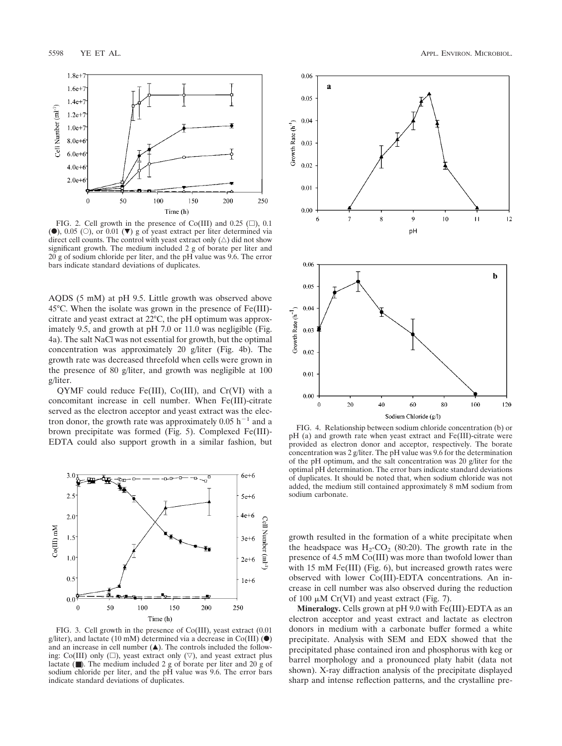

FIG. 2. Cell growth in the presence of Co(III) and 0.25  $(\square)$ , 0.1 ( $\bullet$ ), 0.05 ( $\circ$ ), or 0.01 ( $\nabla$ ) g of yeast extract per liter determined via direct cell counts. The control with yeast extract only  $(\triangle)$  did not show significant growth. The medium included 2 g of borate per liter and  $20 g$  of sodium chloride per liter, and the pH value was 9.6. The error bars indicate standard deviations of duplicates.

AQDS (5 mM) at pH 9.5. Little growth was observed above 45°C. When the isolate was grown in the presence of Fe(III) citrate and yeast extract at 22°C, the pH optimum was approximately 9.5, and growth at pH 7.0 or 11.0 was negligible (Fig. 4a). The salt NaCl was not essential for growth, but the optimal concentration was approximately 20 g/liter (Fig. 4b). The growth rate was decreased threefold when cells were grown in the presence of 80 g/liter, and growth was negligible at 100 g/liter.

QYMF could reduce Fe(III), Co(III), and Cr(VI) with a concomitant increase in cell number. When Fe(III)-citrate served as the electron acceptor and yeast extract was the electron donor, the growth rate was approximately  $0.05$  h<sup>-1</sup> and a brown precipitate was formed (Fig. 5). Complexed Fe(III)- EDTA could also support growth in a similar fashion, but



FIG. 3. Cell growth in the presence of Co(III), yeast extract (0.01 g/liter), and lactate (10 mM) determined via a decrease in Co(III)  $(\bullet)$ and an increase in cell number  $($  $\blacktriangle$ ). The controls included the following: Co(III) only ( $\square$ ), yeast extract only ( $\nabla$ ), and yeast extract plus lactate (■). The medium included 2 g of borate per liter and 20 g of sodium chloride per liter, and the pH value was 9.6. The error bars indicate standard deviations of duplicates.



FIG. 4. Relationship between sodium chloride concentration (b) or pH (a) and growth rate when yeast extract and Fe(III)-citrate were provided as electron donor and acceptor, respectively. The borate concentration was 2 g/liter. The pH value was 9.6 for the determination of the pH optimum, and the salt concentration was 20 g/liter for the optimal pH determination. The error bars indicate standard deviations of duplicates. It should be noted that, when sodium chloride was not added, the medium still contained approximately 8 mM sodium from sodium carbonate.

growth resulted in the formation of a white precipitate when the headspace was  $H_2$ -CO<sub>2</sub> (80:20). The growth rate in the presence of 4.5 mM Co(III) was more than twofold lower than with 15 mM Fe(III) (Fig. 6), but increased growth rates were observed with lower Co(III)-EDTA concentrations. An increase in cell number was also observed during the reduction of 100  $\mu$ M Cr(VI) and yeast extract (Fig. 7).

**Mineralogy.** Cells grown at pH 9.0 with Fe(III)-EDTA as an electron acceptor and yeast extract and lactate as electron donors in medium with a carbonate buffer formed a white precipitate. Analysis with SEM and EDX showed that the precipitated phase contained iron and phosphorus with keg or barrel morphology and a pronounced platy habit (data not shown). X-ray diffraction analysis of the precipitate displayed sharp and intense reflection patterns, and the crystalline pre-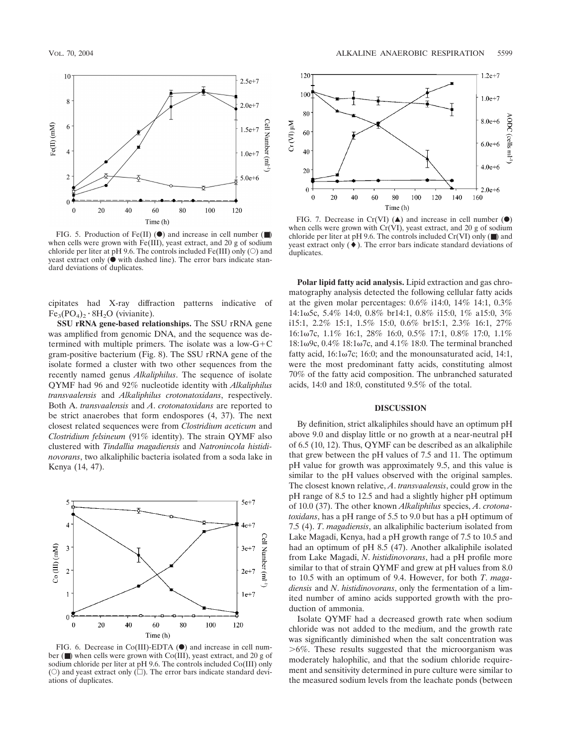

FIG. 5. Production of Fe(II) ( $\bullet$ ) and increase in cell number ( $\blacksquare$ ) when cells were grown with Fe(III), yeast extract, and 20 g of sodium chloride per liter at pH 9.6. The controls included  $Fe(III)$  only ( $\circ$ ) and yeast extract only  $(\bullet)$  with dashed line). The error bars indicate standard deviations of duplicates.

cipitates had X-ray diffraction patterns indicative of  $Fe_3(PO_4)$ <sub>2</sub>  $\cdot$  8H<sub>2</sub>O (vivianite).

**SSU rRNA gene-based relationships.** The SSU rRNA gene was amplified from genomic DNA, and the sequence was determined with multiple primers. The isolate was a low- $G+C$ gram-positive bacterium (Fig. 8). The SSU rRNA gene of the isolate formed a cluster with two other sequences from the recently named genus *Alkaliphilus*. The sequence of isolate QYMF had 96 and 92% nucleotide identity with *Alkaliphilus transvaalensis* and *Alkaliphilus crotonatoxidans*, respectively. Both A. *transvaalensis* and *A*. *crotonatoxidans* are reported to be strict anaerobes that form endospores (4, 37). The next closest related sequences were from *Clostridium aceticum* and *Clostridium felsineum* (91% identity). The strain QYMF also clustered with *Tindallia magadiensis* and *Natronincola histidinovorans*, two alkaliphilic bacteria isolated from a soda lake in Kenya (14, 47).



FIG. 6. Decrease in Co(III)-EDTA  $($ <sup>o</sup>) and increase in cell number (■) when cells were grown with Co(III), yeast extract, and 20 g of sodium chloride per liter at pH 9.6. The controls included Co(III) only ( $\circ$ ) and yeast extract only ( $\Box$ ). The error bars indicate standard deviations of duplicates.



FIG. 7. Decrease in Cr(VI)  $(\triangle)$  and increase in cell number  $(\triangle)$ when cells were grown with Cr(VI), yeast extract, and 20 g of sodium chloride per liter at pH 9.6. The controls included  $Cr(VI)$  only ( $\blacksquare$ ) and yeast extract only  $(\blacklozenge)$ . The error bars indicate standard deviations of duplicates.

**Polar lipid fatty acid analysis.** Lipid extraction and gas chromatography analysis detected the following cellular fatty acids at the given molar percentages: 0.6% i14:0, 14% 14:1, 0.3% 14:15c, 5.4% 14:0, 0.8% br14:1, 0.8% i15:0, 1% a15:0, 3% i15:1, 2.2% 15:1, 1.5% 15:0, 0.6% br15:1, 2.3% 16:1, 27% 16:1ω7c, 1.1% 16:1, 28% 16:0, 0.5% 17:1, 0.8% 17:0, 1.1% 18:1ω9c,  $0.4\%$  18:1ω7c, and  $4.1\%$  18:0. The terminal branched fatty acid,  $16:1\omega$ 7c; 16:0; and the monounsaturated acid, 14:1, were the most predominant fatty acids, constituting almost 70% of the fatty acid composition. The unbranched saturated acids, 14:0 and 18:0, constituted 9.5% of the total.

#### **DISCUSSION**

By definition, strict alkaliphiles should have an optimum pH above 9.0 and display little or no growth at a near-neutral pH of 6.5 (10, 12). Thus, QYMF can be described as an alkaliphile that grew between the pH values of 7.5 and 11. The optimum pH value for growth was approximately 9.5, and this value is similar to the pH values observed with the original samples. The closest known relative, *A*. *transvaalensis*, could grow in the pH range of 8.5 to 12.5 and had a slightly higher pH optimum of 10.0 (37). The other known *Alkaliphilus* species, *A*. *crotonatoxidans*, has a pH range of 5.5 to 9.0 but has a pH optimum of 7.5 (4). *T*. *magadiensis*, an alkaliphilic bacterium isolated from Lake Magadi, Kenya, had a pH growth range of 7.5 to 10.5 and had an optimum of pH 8.5 (47). Another alkaliphile isolated from Lake Magadi, *N*. *histidinovorans*, had a pH profile more similar to that of strain QYMF and grew at pH values from 8.0 to 10.5 with an optimum of 9.4. However, for both *T*. *magadiensis* and *N*. *histidinovorans*, only the fermentation of a limited number of amino acids supported growth with the production of ammonia.

Isolate QYMF had a decreased growth rate when sodium chloride was not added to the medium, and the growth rate was significantly diminished when the salt concentration was 6%. These results suggested that the microorganism was moderately halophilic, and that the sodium chloride requirement and sensitivity determined in pure culture were similar to the measured sodium levels from the leachate ponds (between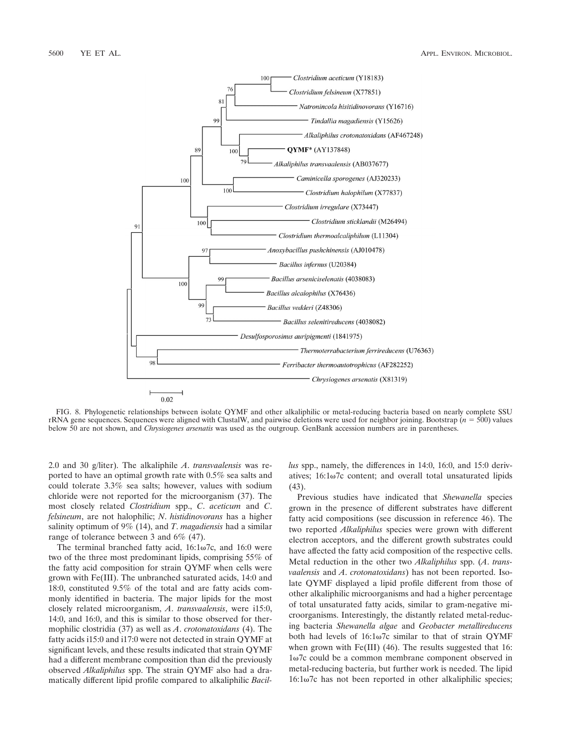

FIG. 8. Phylogenetic relationships between isolate QYMF and other alkaliphilic or metal-reducing bacteria based on nearly complete SSU rRNA gene sequences. Sequences were aligned with ClustalW, and pairwise deletions were used for neighbor joining. Bootstrap (*n* 500) values below 50 are not shown, and *Chrysiogenes arsenatis* was used as the outgroup. GenBank accession numbers are in parentheses.

2.0 and 30 g/liter). The alkaliphile *A*. *transvaalensis* was reported to have an optimal growth rate with 0.5% sea salts and could tolerate 3.3% sea salts; however, values with sodium chloride were not reported for the microorganism (37). The most closely related *Clostridium* spp., *C*. *aceticum* and *C*. *felsineum*, are not halophilic; *N*. *histidinovorans* has a higher salinity optimum of 9% (14), and *T*. *magadiensis* had a similar range of tolerance between 3 and 6% (47).

The terminal branched fatty acid,  $16:1\omega$ 7c, and  $16:0$  were two of the three most predominant lipids, comprising 55% of the fatty acid composition for strain QYMF when cells were grown with Fe(III). The unbranched saturated acids, 14:0 and 18:0, constituted 9.5% of the total and are fatty acids commonly identified in bacteria. The major lipids for the most closely related microorganism, *A*. *transvaalensis*, were i15:0, 14:0, and 16:0, and this is similar to those observed for thermophilic clostridia (37) as well as *A*. *crotonatoxidans* (4). The fatty acids i15:0 and i17:0 were not detected in strain QYMF at significant levels, and these results indicated that strain QYMF had a different membrane composition than did the previously observed *Alkaliphilus* spp. The strain QYMF also had a dramatically different lipid profile compared to alkaliphilic *Bacil-* *lus* spp., namely, the differences in 14:0, 16:0, and 15:0 derivatives;  $16:1\omega$ 7c content; and overall total unsaturated lipids (43).

Previous studies have indicated that *Shewanella* species grown in the presence of different substrates have different fatty acid compositions (see discussion in reference 46). The two reported *Alkaliphilus* species were grown with different electron acceptors, and the different growth substrates could have affected the fatty acid composition of the respective cells. Metal reduction in the other two *Alkaliphilus* spp. (*A*. *transvaalensis* and *A*. *crotonatoxidans*) has not been reported. Isolate QYMF displayed a lipid profile different from those of other alkaliphilic microorganisms and had a higher percentage of total unsaturated fatty acids, similar to gram-negative microorganisms. Interestingly, the distantly related metal-reducing bacteria *Shewanella algae* and *Geobacter metallireducens* both had levels of  $16:1\omega7c$  similar to that of strain QYMF when grown with Fe(III) (46). The results suggested that 16:  $1\omega$ 7c could be a common membrane component observed in metal-reducing bacteria, but further work is needed. The lipid  $16:1\omega$ 7c has not been reported in other alkaliphilic species;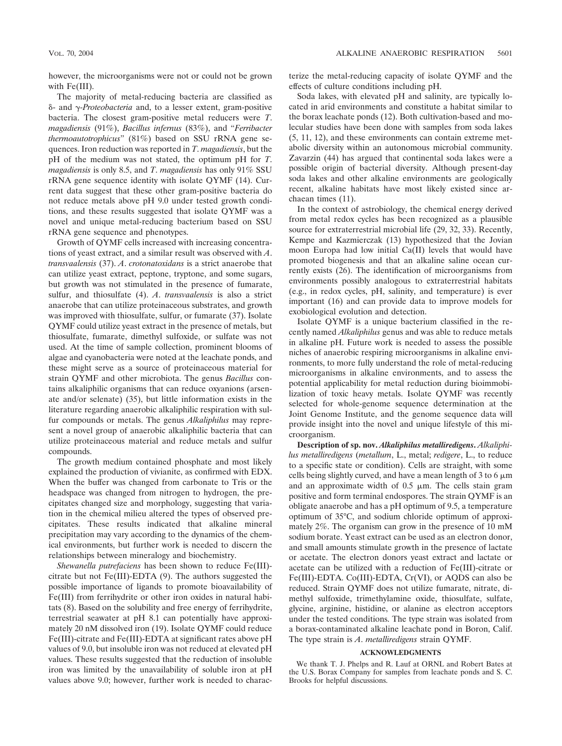however, the microorganisms were not or could not be grown with Fe(III).

The majority of metal-reducing bacteria are classified as - and -*Proteobacteria* and, to a lesser extent, gram-positive bacteria. The closest gram-positive metal reducers were *T*. *magadiensis* (91%), *Bacillus infernus* (83%), and "*Ferribacter thermoautotrophicus*" (81%) based on SSU rRNA gene sequences. Iron reduction was reported in *T*. *magadiensis*, but the pH of the medium was not stated, the optimum pH for *T*. *magadiensis* is only 8.5, and *T*. *magadiensis* has only 91% SSU rRNA gene sequence identity with isolate QYMF (14). Current data suggest that these other gram-positive bacteria do not reduce metals above pH 9.0 under tested growth conditions, and these results suggested that isolate QYMF was a novel and unique metal-reducing bacterium based on SSU rRNA gene sequence and phenotypes.

Growth of QYMF cells increased with increasing concentrations of yeast extract, and a similar result was observed with *A*. *transvaalensis* (37). *A*. *crotonatoxidans* is a strict anaerobe that can utilize yeast extract, peptone, tryptone, and some sugars, but growth was not stimulated in the presence of fumarate, sulfur, and thiosulfate (4). *A*. *transvaalensis* is also a strict anaerobe that can utilize proteinaceous substrates, and growth was improved with thiosulfate, sulfur, or fumarate (37). Isolate QYMF could utilize yeast extract in the presence of metals, but thiosulfate, fumarate, dimethyl sulfoxide, or sulfate was not used. At the time of sample collection, prominent blooms of algae and cyanobacteria were noted at the leachate ponds, and these might serve as a source of proteinaceous material for strain QYMF and other microbiota. The genus *Bacillus* contains alkaliphilic organisms that can reduce oxyanions (arsenate and/or selenate) (35), but little information exists in the literature regarding anaerobic alkaliphilic respiration with sulfur compounds or metals. The genus *Alkaliphilus* may represent a novel group of anaerobic alkaliphilic bacteria that can utilize proteinaceous material and reduce metals and sulfur compounds.

The growth medium contained phosphate and most likely explained the production of vivianite, as confirmed with EDX. When the buffer was changed from carbonate to Tris or the headspace was changed from nitrogen to hydrogen, the precipitates changed size and morphology, suggesting that variation in the chemical milieu altered the types of observed precipitates. These results indicated that alkaline mineral precipitation may vary according to the dynamics of the chemical environments, but further work is needed to discern the relationships between mineralogy and biochemistry.

*Shewanella putrefaciens* has been shown to reduce Fe(III) citrate but not Fe(III)-EDTA (9). The authors suggested the possible importance of ligands to promote bioavailability of Fe(III) from ferrihydrite or other iron oxides in natural habitats (8). Based on the solubility and free energy of ferrihydrite, terrestrial seawater at pH 8.1 can potentially have approximately 20 nM dissolved iron (19). Isolate QYMF could reduce Fe(III)-citrate and Fe(III)-EDTA at significant rates above pH values of 9.0, but insoluble iron was not reduced at elevated pH values. These results suggested that the reduction of insoluble iron was limited by the unavailability of soluble iron at pH values above 9.0; however, further work is needed to characterize the metal-reducing capacity of isolate QYMF and the effects of culture conditions including pH.

Soda lakes, with elevated pH and salinity, are typically located in arid environments and constitute a habitat similar to the borax leachate ponds (12). Both cultivation-based and molecular studies have been done with samples from soda lakes (5, 11, 12), and these environments can contain extreme metabolic diversity within an autonomous microbial community. Zavarzin (44) has argued that continental soda lakes were a possible origin of bacterial diversity. Although present-day soda lakes and other alkaline environments are geologically recent, alkaline habitats have most likely existed since archaean times (11).

In the context of astrobiology, the chemical energy derived from metal redox cycles has been recognized as a plausible source for extraterrestrial microbial life (29, 32, 33). Recently, Kempe and Kazmierczak (13) hypothesized that the Jovian moon Europa had low initial Ca(II) levels that would have promoted biogenesis and that an alkaline saline ocean currently exists (26). The identification of microorganisms from environments possibly analogous to extraterrestrial habitats (e.g., in redox cycles, pH, salinity, and temperature) is ever important (16) and can provide data to improve models for exobiological evolution and detection.

Isolate QYMF is a unique bacterium classified in the recently named *Alkaliphilus* genus and was able to reduce metals in alkaline pH. Future work is needed to assess the possible niches of anaerobic respiring microorganisms in alkaline environments, to more fully understand the role of metal-reducing microorganisms in alkaline environments, and to assess the potential applicability for metal reduction during bioimmobilization of toxic heavy metals. Isolate QYMF was recently selected for whole-genome sequence determination at the Joint Genome Institute, and the genome sequence data will provide insight into the novel and unique lifestyle of this microorganism.

**Description of sp. nov.** *Alkaliphilus metalliredigens***.** *Alkaliphilus metalliredigens* (*metallum*, L., metal; *redigere*, L., to reduce to a specific state or condition). Cells are straight, with some cells being slightly curved, and have a mean length of  $3$  to  $6 \mu m$ and an approximate width of  $0.5 \mu m$ . The cells stain gram positive and form terminal endospores. The strain QYMF is an obligate anaerobe and has a pH optimum of 9.5, a temperature optimum of 35°C, and sodium chloride optimum of approximately 2%. The organism can grow in the presence of 10 mM sodium borate. Yeast extract can be used as an electron donor, and small amounts stimulate growth in the presence of lactate or acetate. The electron donors yeast extract and lactate or acetate can be utilized with a reduction of Fe(III)-citrate or Fe(III)-EDTA. Co(III)-EDTA, Cr(VI), or AQDS can also be reduced. Strain QYMF does not utilize fumarate, nitrate, dimethyl sulfoxide, trimethylamine oxide, thiosulfate, sulfate, glycine, arginine, histidine, or alanine as electron acceptors under the tested conditions. The type strain was isolated from a borax-contaminated alkaline leachate pond in Boron, Calif. The type strain is *A*. *metalliredigens* strain QYMF.

#### **ACKNOWLEDGMENTS**

We thank T. J. Phelps and R. Lauf at ORNL and Robert Bates at the U.S. Borax Company for samples from leachate ponds and S. C. Brooks for helpful discussions.